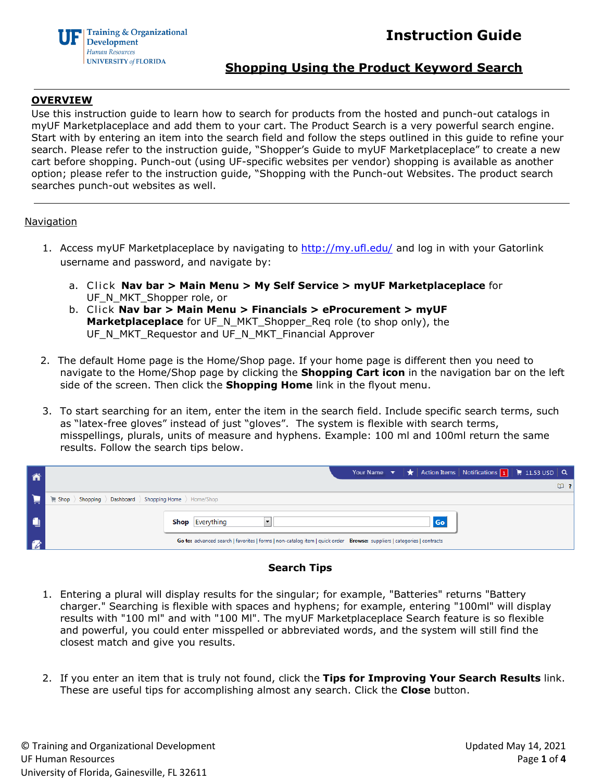

### **Shopping Using the Product Keyword Search**

### **OVERVIEW**

Use this instruction guide to learn how to search for products from the hosted and punch-out catalogs in myUF Marketplaceplace and add them to your cart. The Product Search is a very powerful search engine. Start with by entering an item into the search field and follow the steps outlined in this guide to refine your search. Please refer to the instruction guide, "Shopper's Guide to myUF Marketplaceplace" to create a new cart before shopping. Punch-out (using UF-specific websites per vendor) shopping is available as another option; please refer to the instruction guide, "Shopping with the Punch-out Websites. The product search searches punch-out websites as well.

### **Navigation**

- 1. Access myUF Marketplaceplace by navigating to<http://my.ufl.edu/> and log in with your Gatorlink username and password, and navigate by:
	- a. Click **Nav bar > Main Menu > My Self Service > myUF Marketplaceplace** for UF\_N\_MKT\_Shopper role, or
	- b. Cli ck **Nav bar > Main Menu > Financials > eProcurement > myUF Marketplaceplace** for UF\_N\_MKT\_Shopper\_Req role (to shop only), the UF\_N\_MKT\_Requestor and UF\_N\_MKT\_Financial Approver
- 2. The default Home page is the Home/Shop page. If your home page is different then you need to navigate to the Home/Shop page by clicking the **Shopping Cart icon** in the navigation bar on the left side of the screen. Then click the **Shopping Home** link in the flyout menu.
- 3. To start searching for an item, enter the item in the search field. Include specific search terms, such as "latex-free gloves" instead of just "gloves". The system is flexible with search terms, misspellings, plurals, units of measure and hyphens. Example: 100 ml and 100ml return the same results. Follow the search tips below.

| ñ |                                                                                                                        | Your Name $\bullet$ $\bullet$ Action Items Notifications 1 = 11.53 USD $\circ$ |
|---|------------------------------------------------------------------------------------------------------------------------|--------------------------------------------------------------------------------|
|   |                                                                                                                        | $\mathbf{w}$ ?                                                                 |
|   | Shop > Shopping > Dashboard > Shopping Home > Home/Shop                                                                |                                                                                |
|   | Go<br><b>Shop</b> Everything                                                                                           |                                                                                |
|   | Go to: advanced search   favorites   forms   non-catalog item   quick order Browse: suppliers   categories   contracts |                                                                                |

### **Search Tips**

- 1. Entering a plural will display results for the singular; for example, "Batteries" returns "Battery charger." Searching is flexible with spaces and hyphens; for example, entering "100ml" will display results with "100 ml" and with "100 Ml". The myUF Marketplaceplace Search feature is so flexible and powerful, you could enter misspelled or abbreviated words, and the system will still find the closest match and give you results.
- 2. If you enter an item that is truly not found, click the **Tips for Improving Your Search Results** link. These are useful tips for accomplishing almost any search. Click the **Close** button.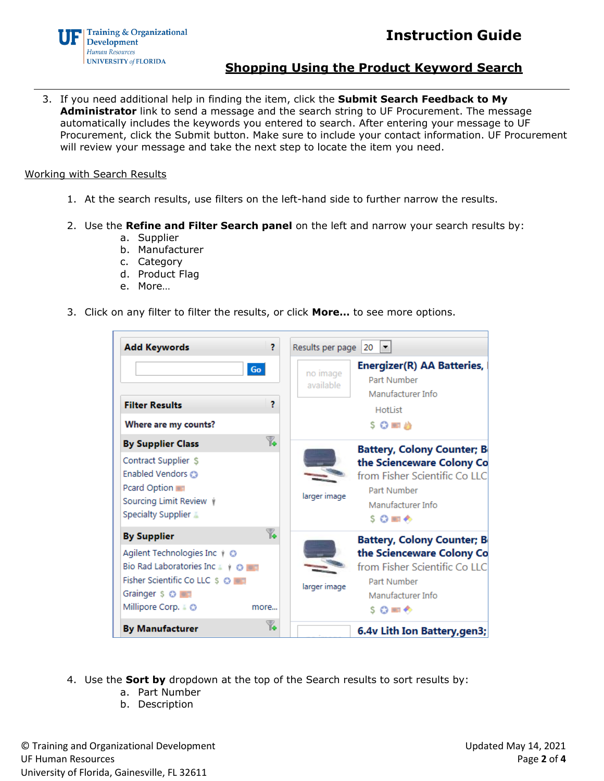



**Shopping Using the Product Keyword Search**

3. If you need additional help in finding the item, click the **Submit Search Feedback to My Administrator** link to send a message and the search string to UF Procurement. The message automatically includes the keywords you entered to search. After entering your message to UF Procurement, click the Submit button. Make sure to include your contact information. UF Procurement will review your message and take the next step to locate the item you need.

### Working with Search Results

- 1. At the search results, use filters on the left-hand side to further narrow the results.
- 2. Use the **Refine and Filter Search panel** on the left and narrow your search results by:
	- a. Supplier
	- b. Manufacturer
	- c. Category
	- d. Product Flag
	- e. More…
- 3. Click on any filter to filter the results, or click **More…** to see more options.

| <b>Add Keywords</b>                                                                                                                       | 2    | Results per page      | 20<br>$\blacksquare$                                                                                              |
|-------------------------------------------------------------------------------------------------------------------------------------------|------|-----------------------|-------------------------------------------------------------------------------------------------------------------|
| Go                                                                                                                                        |      | no image<br>available | Energizer(R) AA Batteries,<br>Part Number<br>Manufacturer Info                                                    |
| <b>Filter Results</b>                                                                                                                     | 2    |                       | HotList                                                                                                           |
| Where are my counts?                                                                                                                      |      |                       | $SO = 2$                                                                                                          |
| <b>By Supplier Class</b>                                                                                                                  | T.   |                       | <b>Battery, Colony Counter; B</b>                                                                                 |
| Contract Supplier \$<br>Enabled Vendors @<br>Pcard Option<br>Sourcing Limit Review $\dot{\psi}$<br>Specialty Supplier                     |      | larger image          | the Scienceware Colony Co<br>from Fisher Scientific Co LLC<br>Part Number<br>Manufacturer Info<br>$S$ $O$ and $O$ |
| <b>By Supplier</b>                                                                                                                        | T.   |                       | <b>Battery, Colony Counter; B</b>                                                                                 |
| Agilent Technologies Inc + ©<br>Bio Rad Laboratories Inc & + 0<br>Fisher Scientific Co LLC \$ @  <br>Grainger \$ O<br>Millipore Corp. & © | more | larger image          | the Scienceware Colony Co<br>from Fisher Scientific Co LLC<br>Part Number<br>Manufacturer Info<br>S C me ←        |
| <b>By Manufacturer</b>                                                                                                                    | Y.   |                       | 6.4v Lith Ion Battery, gen3;                                                                                      |

- 4. Use the **Sort by** dropdown at the top of the Search results to sort results by:
	- a. Part Number
	- b. Description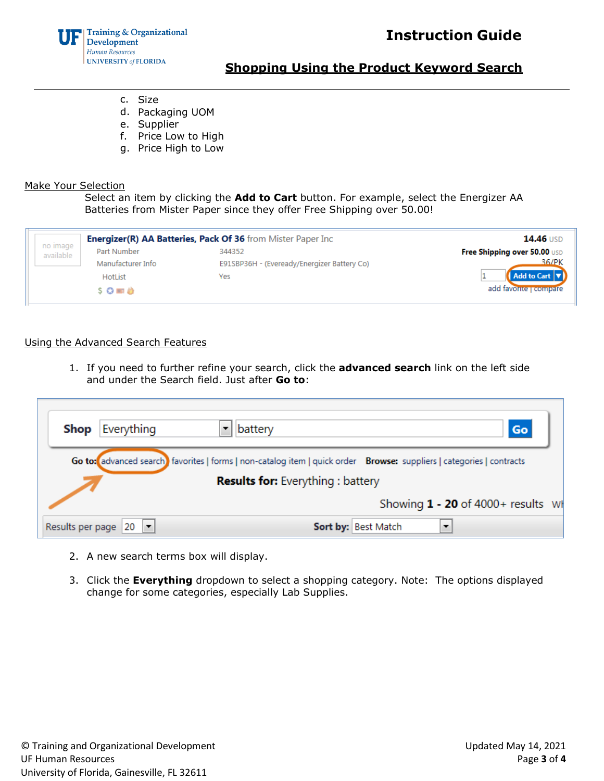# **Instruction Guide**



## **Shopping Using the Product Keyword Search**

- c. Size
- d. Packaging UOM
- e. Supplier
- f. Price Low to High
- g. Price High to Low

### Make Your Selection

Select an item by clicking the **Add to Cart** button. For example, select the Energizer AA Batteries from Mister Paper since they offer Free Shipping over 50.00!

|                       | Energizer(R) AA Batteries, Pack Of 36 from Mister Paper Inc | <b>14.46 USD</b>                            |                              |
|-----------------------|-------------------------------------------------------------|---------------------------------------------|------------------------------|
| no image<br>available | Part Number                                                 | 344352                                      | Free Shipping over 50.00 USD |
|                       | Manufacturer Info                                           | E91SBP36H - (Eveready/Energizer Battery Co) | 36/PK                        |
|                       | <b>HotList</b>                                              | Yes                                         | Add to Cart <b>v</b>         |
|                       | <b>S 〇 画 台</b>                                              |                                             | add favorite   compare       |
|                       |                                                             |                                             |                              |

### Using the Advanced Search Features

1. If you need to further refine your search, click the **advanced search** link on the left side and under the Search field. Just after **Go to**:

| Everything<br>Shop                                                                                                                                                | battery<br>Go                        |  |
|-------------------------------------------------------------------------------------------------------------------------------------------------------------------|--------------------------------------|--|
| Go to: advanced search) favorites   forms   non-catalog item   quick order Browse: suppliers   categories   contracts<br><b>Results for:</b> Everything : battery |                                      |  |
|                                                                                                                                                                   | Showing $1 - 20$ of 4000+ results Wi |  |
| Results per page 20                                                                                                                                               | Sort by: Best Match                  |  |

- 2. A new search terms box will display.
- 3. Click the **Everything** dropdown to select a shopping category. Note: The options displayed change for some categories, especially Lab Supplies.